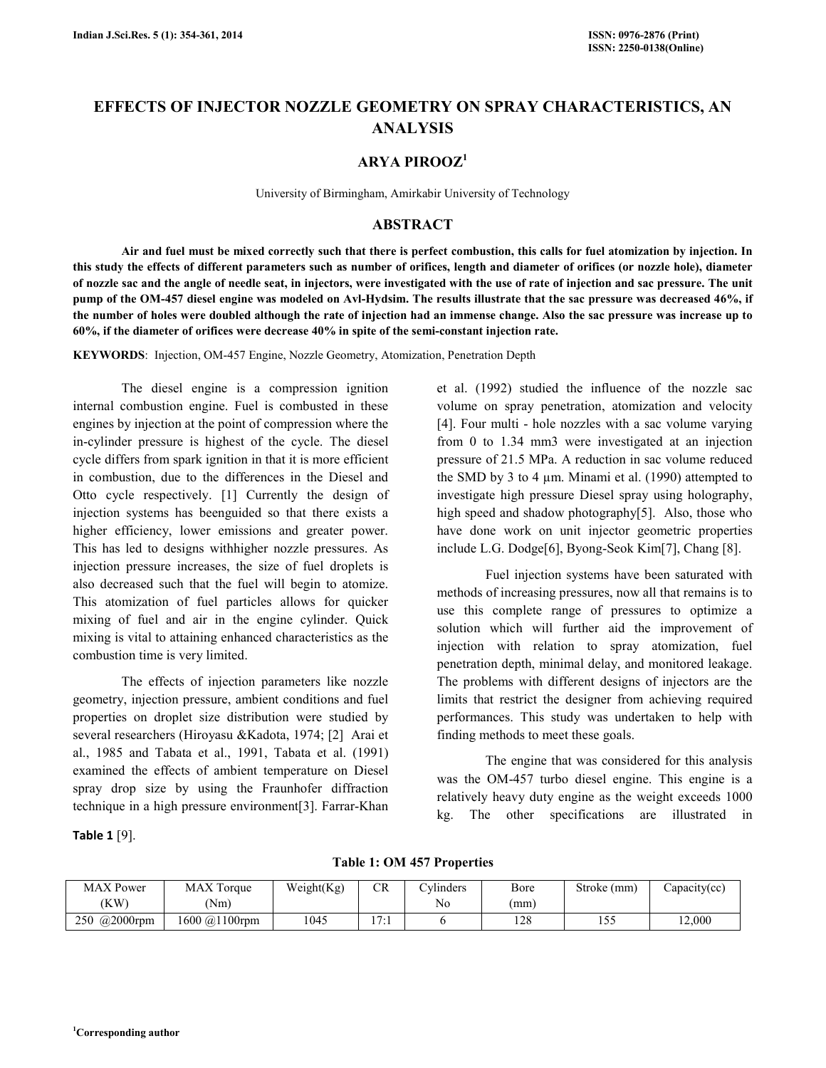# EFFECTS OF INJECTOR NOZZLE GEOMETRY ON SPRAY CHARACTERISTICS, AN ANALYSIS

### ARYA PIROOZ<sup>1</sup>

University of Birmingham, Amirkabir University of Technology

### ABSTRACT

 Air and fuel must be mixed correctly such that there is perfect combustion, this calls for fuel atomization by injection. In this study the effects of different parameters such as number of orifices, length and diameter of orifices (or nozzle hole), diameter of nozzle sac and the angle of needle seat, in injectors, were investigated with the use of rate of injection and sac pressure. The unit pump of the OM-457 diesel engine was modeled on Avl-Hydsim. The results illustrate that the sac pressure was decreased 46%, if the number of holes were doubled although the rate of injection had an immense change. Also the sac pressure was increase up to 60%, if the diameter of orifices were decrease 40% in spite of the semi-constant injection rate.

KEYWORDS: Injection, OM-457 Engine, Nozzle Geometry, Atomization, Penetration Depth

 The diesel engine is a compression ignition internal combustion engine. Fuel is combusted in these engines by injection at the point of compression where the in-cylinder pressure is highest of the cycle. The diesel cycle differs from spark ignition in that it is more efficient in combustion, due to the differences in the Diesel and Otto cycle respectively. [1] Currently the design of injection systems has beenguided so that there exists a higher efficiency, lower emissions and greater power. This has led to designs withhigher nozzle pressures. As injection pressure increases, the size of fuel droplets is also decreased such that the fuel will begin to atomize. This atomization of fuel particles allows for quicker mixing of fuel and air in the engine cylinder. Quick mixing is vital to attaining enhanced characteristics as the combustion time is very limited.

 The effects of injection parameters like nozzle geometry, injection pressure, ambient conditions and fuel properties on droplet size distribution were studied by several researchers (Hiroyasu &Kadota, 1974; [2] Arai et al., 1985 and Tabata et al., 1991, Tabata et al. (1991) examined the effects of ambient temperature on Diesel spray drop size by using the Fraunhofer diffraction technique in a high pressure environment[3]. Farrar-Khan

Table 1 [9].

et al. (1992) studied the influence of the nozzle sac volume on spray penetration, atomization and velocity [4]. Four multi - hole nozzles with a sac volume varying from 0 to 1.34 mm3 were investigated at an injection pressure of 21.5 MPa. A reduction in sac volume reduced the SMD by 3 to 4 µm. Minami et al. (1990) attempted to investigate high pressure Diesel spray using holography, high speed and shadow photography[5]. Also, those who have done work on unit injector geometric properties include L.G. Dodge[6], Byong-Seok Kim[7], Chang [8].

 Fuel injection systems have been saturated with methods of increasing pressures, now all that remains is to use this complete range of pressures to optimize a solution which will further aid the improvement of injection with relation to spray atomization, fuel penetration depth, minimal delay, and monitored leakage. The problems with different designs of injectors are the limits that restrict the designer from achieving required performances. This study was undertaken to help with finding methods to meet these goals.

 The engine that was considered for this analysis was the OM-457 turbo diesel engine. This engine is a relatively heavy duty engine as the weight exceeds 1000 kg. The other specifications are illustrated in

Table 1: OM 457 Properties

| <b>MAX</b> Power | <b>MAX</b> Torque | Weight(Kg) | CR        | $\sim$ vlinders | Bore       | Stroke (mm) | Capacity(cc) |
|------------------|-------------------|------------|-----------|-----------------|------------|-------------|--------------|
| (KW)             | Nm)               |            |           | No              | (mm)       |             |              |
| 250 @2000rpm     | 1600 @1100rpm     | 1045       | 17.1<br>. |                 | 100<br>1∠0 | 55<br>1 J J | 12,000       |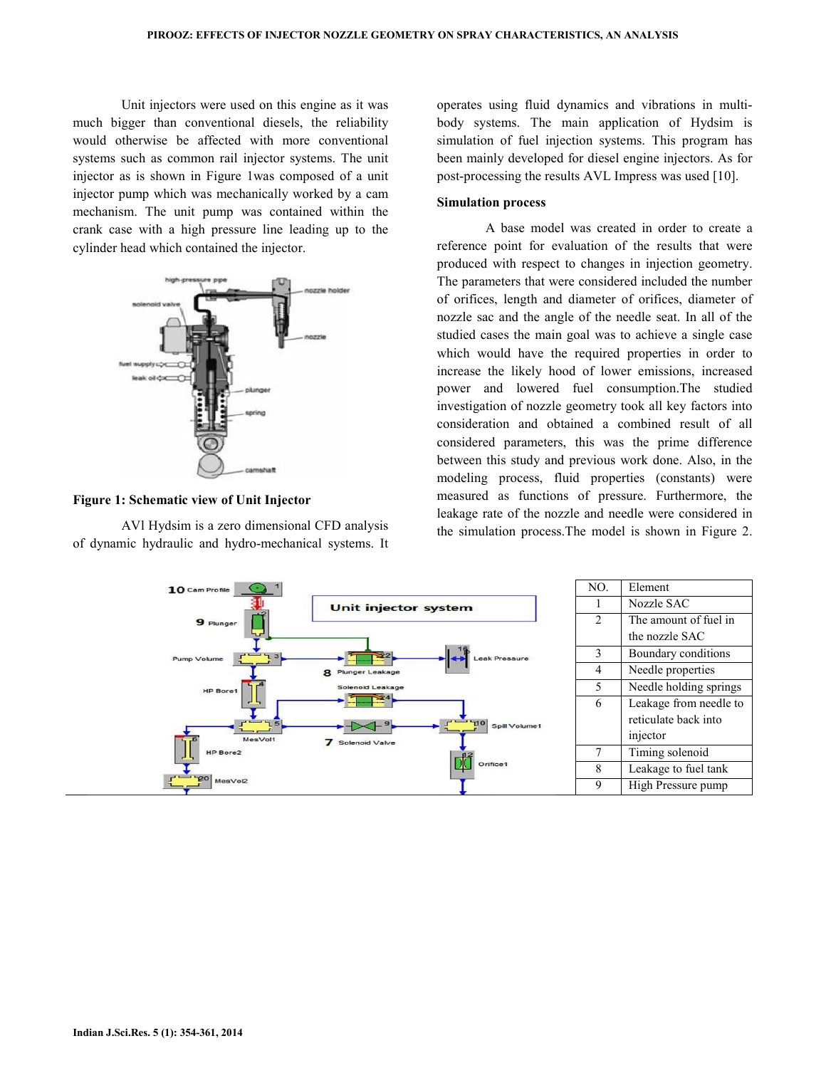Unit injectors were used on this engine as it was much bigger than conventional diesels, the reliability would otherwise be affected with more conventional systems such as common rail injector systems. The unit injector as is shown in Figure 1was composed of a unit injector pump which was mechanically worked by a cam mechanism. The unit pump was contained within the crank case with a high pressure line leading up to the cylinder head which contained the injector.



#### Figure 1: Schematic view of Unit Injector

 AVl Hydsim is a zero dimensional CFD analysis of dynamic hydraulic and hydro-mechanical systems. It operates using fluid dynamics and vibrations in multibody systems. The main application of Hydsim is simulation of fuel injection systems. This program has been mainly developed for diesel engine injectors. As for post-processing the results AVL Impress was used [10].

### Simulation process

 A base model was created in order to create a reference point for evaluation of the results that were produced with respect to changes in injection geometry. The parameters that were considered included the number of orifices, length and diameter of orifices, diameter of nozzle sac and the angle of the needle seat. In all of the studied cases the main goal was to achieve a single case which would have the required properties in order to increase the likely hood of lower emissions, increased power and lowered fuel consumption.The studied investigation of nozzle geometry took all key factors into consideration and obtained a combined result of all considered parameters, this was the prime difference between this study and previous work done. Also, in the modeling process, fluid properties (constants) were measured as functions of pressure. Furthermore, the leakage rate of the nozzle and needle were considered in the simulation process.The model is shown in Figure 2.

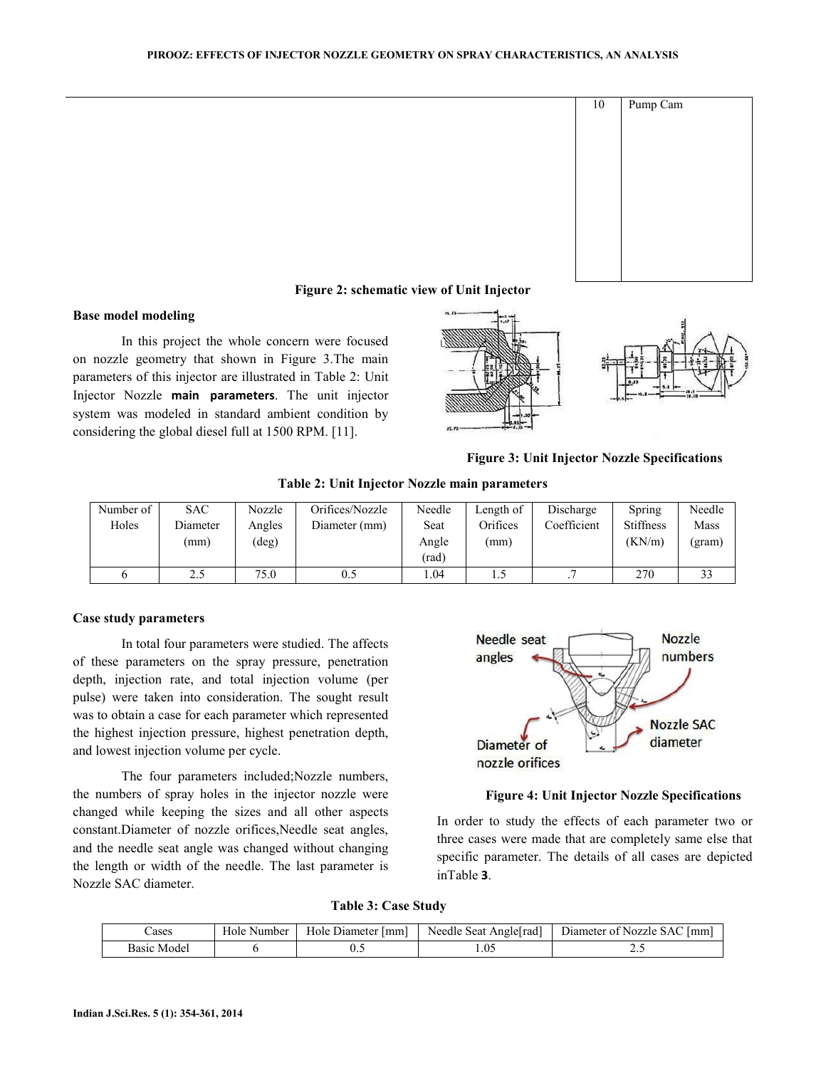

## Figure 2: schematic view of Unit Injector

### Base model modeling

 In this project the whole concern were focused on nozzle geometry that shown in Figure 3.The main parameters of this injector are illustrated in Table 2: Unit Injector Nozzle main parameters. The unit injector system was modeled in standard ambient condition by considering the global diesel full at 1500 RPM. [11].



Figure 3: Unit Injector Nozzle Specifications

Table 2: Unit Injector Nozzle main parameters

| Number of | <b>SAC</b> | Nozzle | Orifices/Nozzle | Needle | Length of | Discharge   | Spring           | Needle |
|-----------|------------|--------|-----------------|--------|-----------|-------------|------------------|--------|
| Holes     | Diameter   | Angles | Diameter (mm)   | Seat   | Orifices  | Coefficient | <b>Stiffness</b> | Mass   |
|           | (mm)       | (deg)  |                 | Angle  | (mm)      |             | (KN/m)           | (gram) |
|           |            |        |                 | (rad)  |           |             |                  |        |
|           | 2.5        | 75.0   | 0.5             | .04    |           |             | 270              | 33     |

#### Case study parameters

In total four parameters were studied. The affects of these parameters on the spray pressure, penetration depth, injection rate, and total injection volume (per pulse) were taken into consideration. The sought result was to obtain a case for each parameter which represented the highest injection pressure, highest penetration depth, and lowest injection volume per cycle.

The four parameters included;Nozzle numbers, the numbers of spray holes in the injector nozzle were changed while keeping the sizes and all other aspects constant.Diameter of nozzle orifices,Needle seat angles, and the needle seat angle was changed without changing the length or width of the needle. The last parameter is Nozzle SAC diameter.



#### Figure 4: Unit Injector Nozzle Specifications

In order to study the effects of each parameter two or three cases were made that are completely same else that specific parameter. The details of all cases are depicted inTable 3.

Table 3: Case Study

| eases       | Hole     | Diameter (mm) | $\sim$                | Diameter of Nozzle SAC |
|-------------|----------|---------------|-----------------------|------------------------|
|             | . Number | Hole          | Needle Seat Angle rad | lmm                    |
| Basıc Model |          | U.,           | .05                   |                        |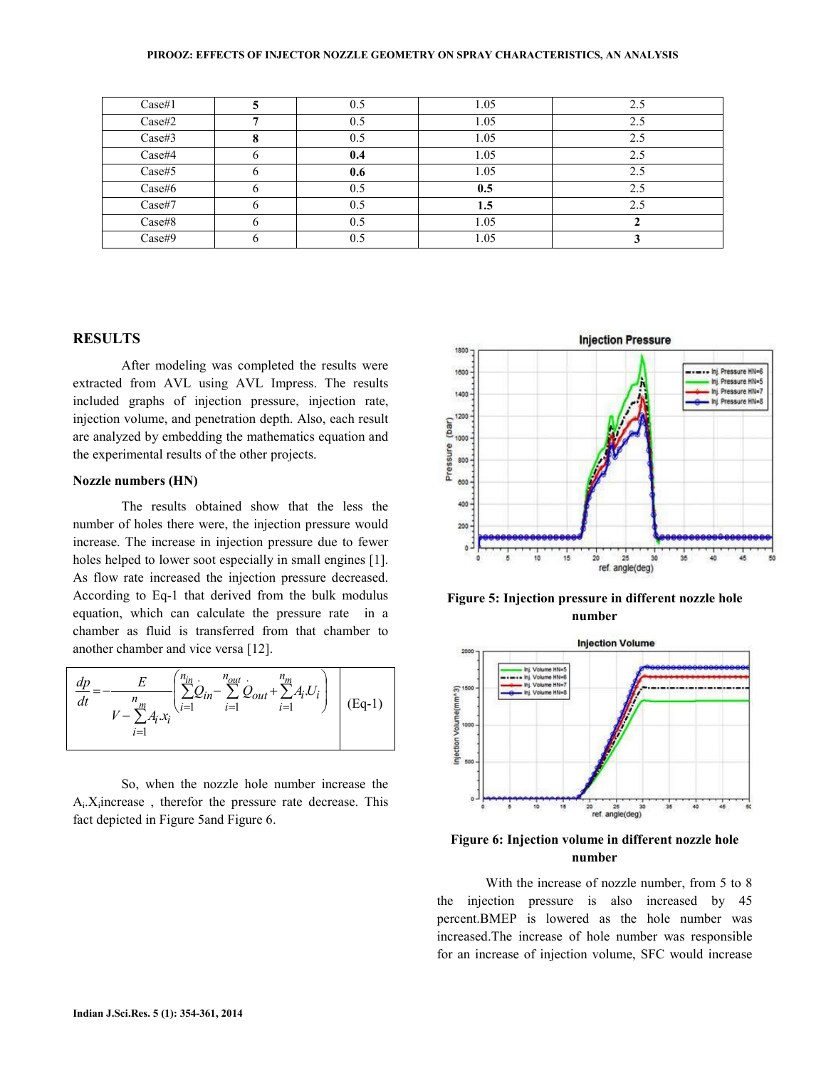| Case#1 |   | 0.5 | 1.05 | 2.5            |
|--------|---|-----|------|----------------|
| Case#2 |   |     | 1.05 | 2.5            |
| Case#3 | О | 0.5 | 1.05 | 2.5            |
| Case#4 |   | 0.4 | 1.05 | 2.5            |
| Case#5 |   | 0.6 | 1.05 | 2.5            |
| Case#6 |   | 0.5 | 0.5  | 2.5            |
| Case#7 |   | 0.5 | 1.5  | 2 <sup>1</sup> |
| Case#8 |   | 0.5 | 1.05 |                |
| Case#9 |   | 0.5 | 1.05 |                |

### **RESULTS**

 After modeling was completed the results were extracted from AVL using AVL Impress. The results included graphs of injection pressure, injection rate, injection volume, and penetration depth. Also, each result are analyzed by embedding the mathematics equation and the experimental results of the other projects.

#### Nozzle numbers (HN)

 The results obtained show that the less the number of holes there were, the injection pressure would increase. The increase in injection pressure due to fewer holes helped to lower soot especially in small engines [1]. As flow rate increased the injection pressure decreased. According to Eq-1 that derived from the bulk modulus equation, which can calculate the pressure rate in a chamber as fluid is transferred from that chamber to another chamber and vice versa [12].

$$
\frac{dp}{dt} = -\frac{E}{V - \sum_{i=1}^{n} A_i x_i} \left( \sum_{i=1}^{n_{in}} Q_{in} - \sum_{i=1}^{n_{out}} Q_{out} + \sum_{i=1}^{n_m} A_i U_i \right) \quad (Eq-1)
$$

 So, when the nozzle hole number increase the  $A_i$ .  $X_i$  increase, therefor the pressure rate decrease. This fact depicted in Figure 5and Figure 6.



Figure 5: Injection pressure in different nozzle hole number



### Figure 6: Injection volume in different nozzle hole number

 With the increase of nozzle number, from 5 to 8 the injection pressure is also increased by 45 percent.BMEP is lowered as the hole number was increased.The increase of hole number was responsible for an increase of injection volume, SFC would increase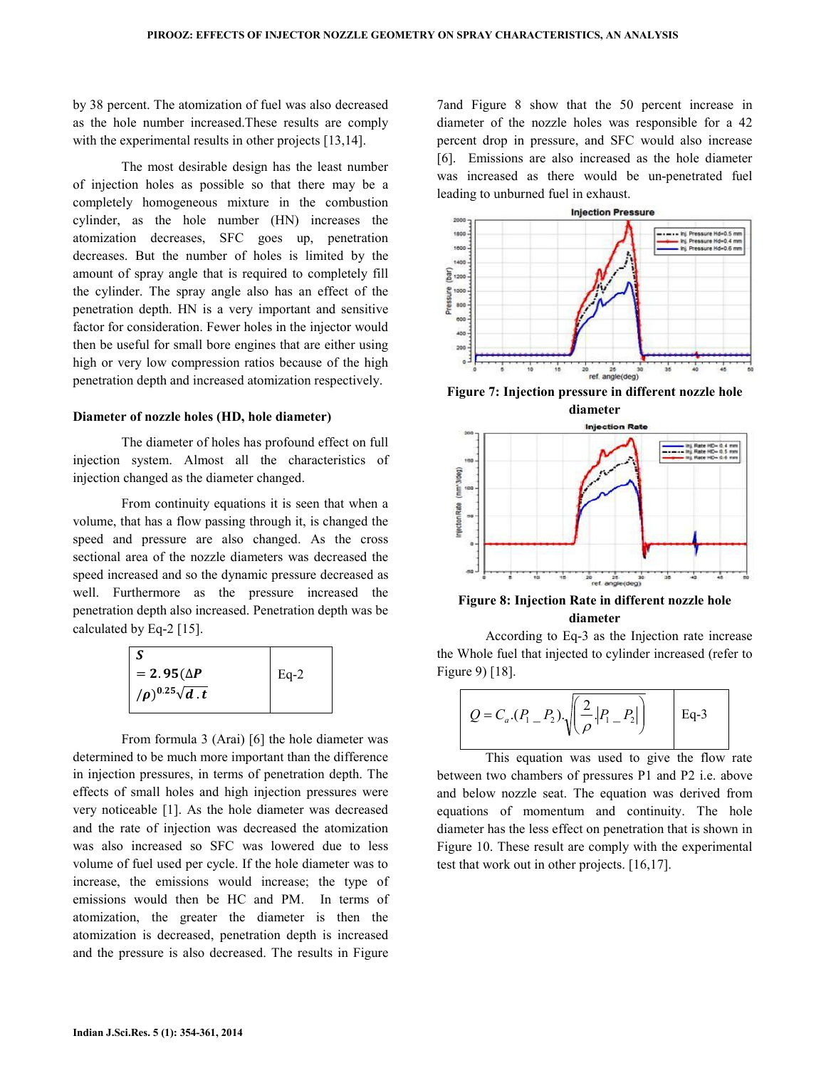by 38 percent. The atomization of fuel was also decreased as the hole number increased.These results are comply with the experimental results in other projects [13,14].

 The most desirable design has the least number of injection holes as possible so that there may be a completely homogeneous mixture in the combustion cylinder, as the hole number (HN) increases the atomization decreases, SFC goes up, penetration decreases. But the number of holes is limited by the amount of spray angle that is required to completely fill the cylinder. The spray angle also has an effect of the penetration depth. HN is a very important and sensitive factor for consideration. Fewer holes in the injector would then be useful for small bore engines that are either using high or very low compression ratios because of the high penetration depth and increased atomization respectively.

#### Diameter of nozzle holes (HD, hole diameter)

 The diameter of holes has profound effect on full injection system. Almost all the characteristics of injection changed as the diameter changed.

 From continuity equations it is seen that when a volume, that has a flow passing through it, is changed the speed and pressure are also changed. As the cross sectional area of the nozzle diameters was decreased the speed increased and so the dynamic pressure decreased as well. Furthermore as the pressure increased the penetration depth also increased. Penetration depth was be calculated by Eq-2 [15].

| $= 2.95(\Delta P)$               | $Eq-2$ |
|----------------------------------|--------|
| $(\rho)^{0.25} \sqrt{d \cdot t}$ |        |

 From formula 3 (Arai) [6] the hole diameter was determined to be much more important than the difference in injection pressures, in terms of penetration depth. The effects of small holes and high injection pressures were very noticeable [1]. As the hole diameter was decreased and the rate of injection was decreased the atomization was also increased so SFC was lowered due to less volume of fuel used per cycle. If the hole diameter was to increase, the emissions would increase; the type of emissions would then be HC and PM. In terms of atomization, the greater the diameter is then the atomization is decreased, penetration depth is increased and the pressure is also decreased. The results in Figure 7and Figure 8 show that the 50 percent increase in diameter of the nozzle holes was responsible for a 42 percent drop in pressure, and SFC would also increase [6]. Emissions are also increased as the hole diameter was increased as there would be un-penetrated fuel leading to unburned fuel in exhaust.



Figure 7: Injection pressure in different nozzle hole diameter



Figure 8: Injection Rate in different nozzle hole diameter

 According to Eq-3 as the Injection rate increase the Whole fuel that injected to cylinder increased (refer to Figure 9) [18].

$$
Q = C_a (P_1 - P_2) \sqrt{\left(\frac{2}{\rho} |P_1 - P_2|\right)}
$$
 Eq-3

 This equation was used to give the flow rate between two chambers of pressures P1 and P2 i.e. above and below nozzle seat. The equation was derived from equations of momentum and continuity. The hole diameter has the less effect on penetration that is shown in Figure 10. These result are comply with the experimental test that work out in other projects. [16,17].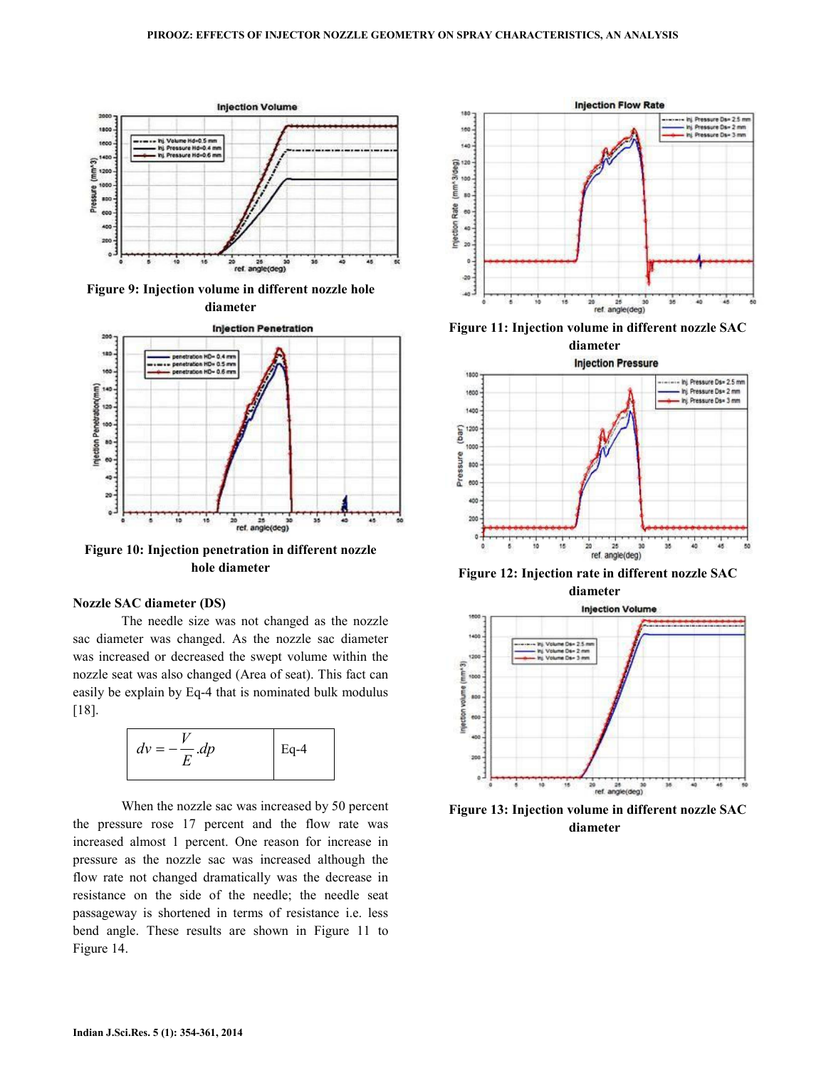

Figure 9: Injection volume in different nozzle hole diameter



Figure 10: Injection penetration in different nozzle hole diameter

#### Nozzle SAC diameter (DS)

 The needle size was not changed as the nozzle sac diameter was changed. As the nozzle sac diameter was increased or decreased the swept volume within the nozzle seat was also changed (Area of seat). This fact can easily be explain by Eq-4 that is nominated bulk modulus [18].



 When the nozzle sac was increased by 50 percent the pressure rose 17 percent and the flow rate was increased almost 1 percent. One reason for increase in pressure as the nozzle sac was increased although the flow rate not changed dramatically was the decrease in resistance on the side of the needle; the needle seat passageway is shortened in terms of resistance i.e. less bend angle. These results are shown in Figure 11 to Figure 14.



Figure 11: Injection volume in different nozzle SAC



Figure 12: Injection rate in different nozzle SAC



Figure 13: Injection volume in different nozzle SAC diameter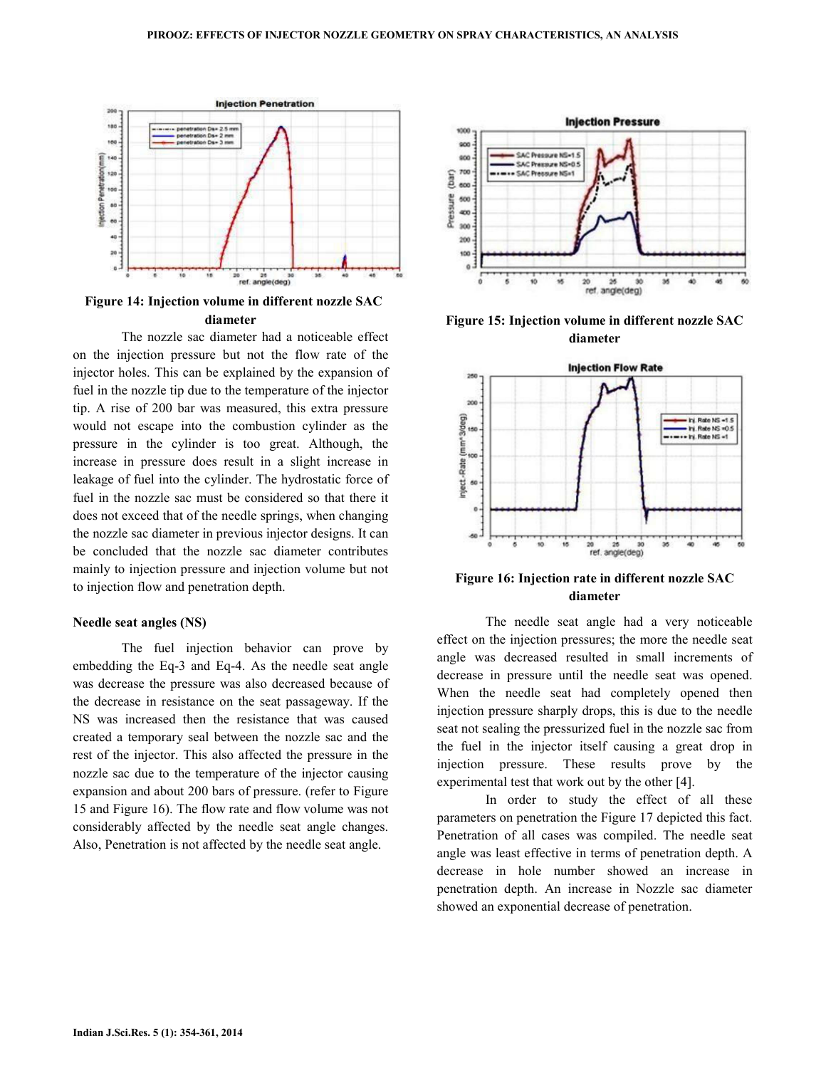

Figure 14: Injection volume in different nozzle SAC diameter

 The nozzle sac diameter had a noticeable effect on the injection pressure but not the flow rate of the injector holes. This can be explained by the expansion of fuel in the nozzle tip due to the temperature of the injector tip. A rise of 200 bar was measured, this extra pressure would not escape into the combustion cylinder as the pressure in the cylinder is too great. Although, the increase in pressure does result in a slight increase in leakage of fuel into the cylinder. The hydrostatic force of fuel in the nozzle sac must be considered so that there it does not exceed that of the needle springs, when changing the nozzle sac diameter in previous injector designs. It can be concluded that the nozzle sac diameter contributes mainly to injection pressure and injection volume but not to injection flow and penetration depth.

#### Needle seat angles (NS)

 The fuel injection behavior can prove by embedding the Eq-3 and Eq-4. As the needle seat angle was decrease the pressure was also decreased because of the decrease in resistance on the seat passageway. If the NS was increased then the resistance that was caused created a temporary seal between the nozzle sac and the rest of the injector. This also affected the pressure in the nozzle sac due to the temperature of the injector causing expansion and about 200 bars of pressure. (refer to Figure 15 and Figure 16). The flow rate and flow volume was not considerably affected by the needle seat angle changes. Also, Penetration is not affected by the needle seat angle.



Figure 15: Injection volume in different nozzle SAC diameter



Figure 16: Injection rate in different nozzle SAC diameter

 The needle seat angle had a very noticeable effect on the injection pressures; the more the needle seat angle was decreased resulted in small increments of decrease in pressure until the needle seat was opened. When the needle seat had completely opened then injection pressure sharply drops, this is due to the needle seat not sealing the pressurized fuel in the nozzle sac from the fuel in the injector itself causing a great drop in injection pressure. These results prove by the experimental test that work out by the other [4].

 In order to study the effect of all these parameters on penetration the Figure 17 depicted this fact. Penetration of all cases was compiled. The needle seat angle was least effective in terms of penetration depth. A decrease in hole number showed an increase in penetration depth. An increase in Nozzle sac diameter showed an exponential decrease of penetration.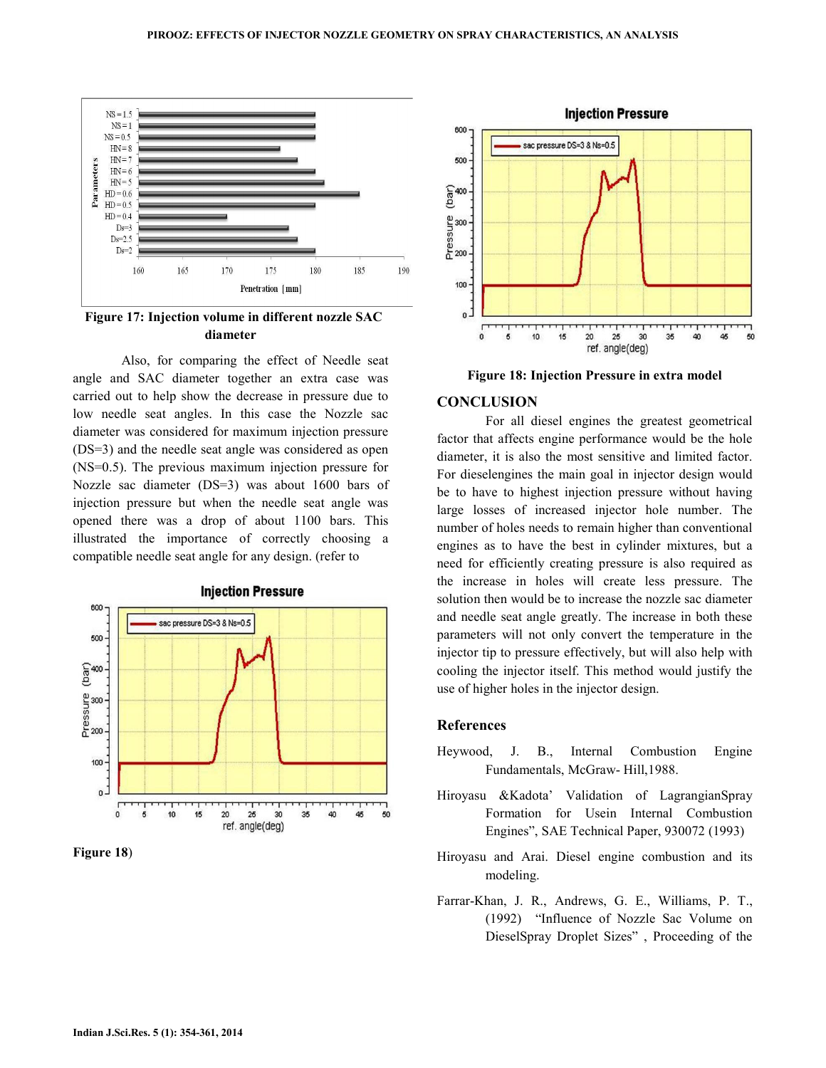

Figure 17: Injection volume in different nozzle SAC diameter

 Also, for comparing the effect of Needle seat angle and SAC diameter together an extra case was carried out to help show the decrease in pressure due to low needle seat angles. In this case the Nozzle sac diameter was considered for maximum injection pressure (DS=3) and the needle seat angle was considered as open (NS=0.5). The previous maximum injection pressure for Nozzle sac diameter (DS=3) was about 1600 bars of injection pressure but when the needle seat angle was opened there was a drop of about 1100 bars. This illustrated the importance of correctly choosing a compatible needle seat angle for any design. (refer to



Figure 18)



Figure 18: Injection Pressure in extra model

### **CONCLUSION**

 For all diesel engines the greatest geometrical factor that affects engine performance would be the hole diameter, it is also the most sensitive and limited factor. For dieselengines the main goal in injector design would be to have to highest injection pressure without having large losses of increased injector hole number. The number of holes needs to remain higher than conventional engines as to have the best in cylinder mixtures, but a need for efficiently creating pressure is also required as the increase in holes will create less pressure. The solution then would be to increase the nozzle sac diameter and needle seat angle greatly. The increase in both these parameters will not only convert the temperature in the injector tip to pressure effectively, but will also help with cooling the injector itself. This method would justify the use of higher holes in the injector design.

### References

- Heywood, J. B., Internal Combustion Engine Fundamentals, McGraw- Hill,1988.
- Hiroyasu &Kadota' Validation of LagrangianSpray Formation for Usein Internal Combustion Engines", SAE Technical Paper, 930072 (1993)
- Hiroyasu and Arai. Diesel engine combustion and its modeling.
- Farrar-Khan, J. R., Andrews, G. E., Williams, P. T., (1992) "Influence of Nozzle Sac Volume on DieselSpray Droplet Sizes" , Proceeding of the